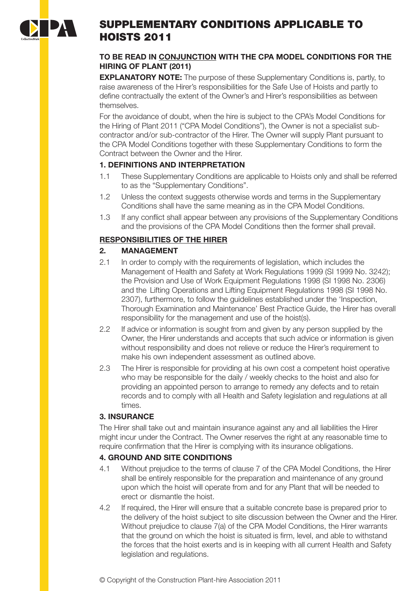

# SUPPLEMENTARY CONDITIONS APPLICABLE TO HOISTS 2011

#### **TO BE READ IN CONJUNCTION WITH THE CPA MODEL CONDITIONS FOR THE HIRING OF PLANT (2011)**

**EXPLANATORY NOTE:** The purpose of these Supplementary Conditions is, partly, to raise awareness of the Hirer's responsibilities for the Safe Use of Hoists and partly to define contractually the extent of the Owner's and Hirer's responsibilities as between themselves.

For the avoidance of doubt, when the hire is subject to the CPA's Model Conditions for the Hiring of Plant 2011 ("CPA Model Conditions"), the Owner is not a specialist subcontractor and/or sub-contractor of the Hirer. The Owner will supply Plant pursuant to the CPA Model Conditions together with these Supplementary Conditions to form the Contract between the Owner and the Hirer.

### **1. DEFINITIONS AND INTERPRETATION**

- 1.1 These Supplementary Conditions are applicable to Hoists only and shall be referred to as the "Supplementary Conditions".
- 1.2 Unless the context suggests otherwise words and terms in the Supplementary Conditions shall have the same meaning as in the CPA Model Conditions.
- 1.3 If any conflict shall appear between any provisions of the Supplementary Conditions and the provisions of the CPA Model Conditions then the former shall prevail.

## **RESPONSIBILITIES OF THE HIRER**

### **2. MANAGEMENT**

- 2.1 In order to comply with the requirements of legislation, which includes the Management of Health and Safety at Work Regulations 1999 (SI 1999 No. 3242); the Provision and Use of Work Equipment Regulations 1998 (SI 1998 No. 2306) and the Lifting Operations and Lifting Equipment Regulations 1998 (SI 1998 No. 2307), furthermore, to follow the guidelines established under the 'Inspection, Thorough Examination and Maintenance' Best Practice Guide, the Hirer has overall responsibility for the management and use of the hoist(s).
- 2.2 If advice or information is sought from and given by any person supplied by the Owner, the Hirer understands and accepts that such advice or information is given without responsibility and does not relieve or reduce the Hirer's requirement to make his own independent assessment as outlined above.
- 2.3 The Hirer is responsible for providing at his own cost a competent hoist operative who may be responsible for the daily / weekly checks to the hoist and also for providing an appointed person to arrange to remedy any defects and to retain records and to comply with all Health and Safety legislation and regulations at all times.

### **3. INSURANCE**

The Hirer shall take out and maintain insurance against any and all liabilities the Hirer might incur under the Contract. The Owner reserves the right at any reasonable time to require confirmation that the Hirer is complying with its insurance obligations.

## **4. GROUND AND SITE CONDITIONS**

- 4.1 Without prejudice to the terms of clause 7 of the CPA Model Conditions, the Hirer shall be entirely responsible for the preparation and maintenance of any ground upon which the hoist will operate from and for any Plant that will be needed to erect or dismantle the hoist.
- 4.2 If required, the Hirer will ensure that a suitable concrete base is prepared prior to the delivery of the hoist subject to site discussion between the Owner and the Hirer. Without prejudice to clause 7(a) of the CPA Model Conditions, the Hirer warrants that the ground on which the hoist is situated is firm, level, and able to withstand the forces that the hoist exerts and is in keeping with all current Health and Safety legislation and regulations.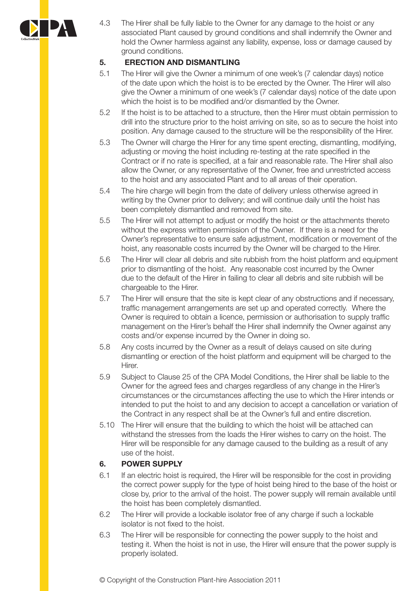

4.3 The Hirer shall be fully liable to the Owner for any damage to the hoist or any associated Plant caused by ground conditions and shall indemnify the Owner and hold the Owner harmless against any liability, expense, loss or damage caused by ground conditions.

## **5. ERECTION AND DISMANTLING**

- 5.1 The Hirer will give the Owner a minimum of one week's (7 calendar days) notice of the date upon which the hoist is to be erected by the Owner. The Hirer will also give the Owner a minimum of one week's (7 calendar days) notice of the date upon which the hoist is to be modified and/or dismantled by the Owner.
- 5.2 If the hoist is to be attached to a structure, then the Hirer must obtain permission to drill into the structure prior to the hoist arriving on site, so as to secure the hoist into position. Any damage caused to the structure will be the responsibility of the Hirer.
- 5.3 The Owner will charge the Hirer for any time spent erecting, dismantling, modifying, adjusting or moving the hoist including re-testing at the rate specified in the Contract or if no rate is specified, at a fair and reasonable rate. The Hirer shall also allow the Owner, or any representative of the Owner, free and unrestricted access to the hoist and any associated Plant and to all areas of their operation.
- 5.4 The hire charge will begin from the date of delivery unless otherwise agreed in writing by the Owner prior to delivery; and will continue daily until the hoist has been completely dismantled and removed from site.
- 5.5 The Hirer will not attempt to adjust or modify the hoist or the attachments thereto without the express written permission of the Owner. If there is a need for the Owner's representative to ensure safe adjustment, modification or movement of the hoist, any reasonable costs incurred by the Owner will be charged to the Hirer.
- 5.6 The Hirer will clear all debris and site rubbish from the hoist platform and equipment prior to dismantling of the hoist. Any reasonable cost incurred by the Owner due to the default of the Hirer in failing to clear all debris and site rubbish will be chargeable to the Hirer.
- 5.7 The Hirer will ensure that the site is kept clear of any obstructions and if necessary, traffic management arrangements are set up and operated correctly. Where the Owner is required to obtain a licence, permission or authorisation to supply traffic management on the Hirer's behalf the Hirer shall indemnify the Owner against any costs and/or expense incurred by the Owner in doing so.
- 5.8 Any costs incurred by the Owner as a result of delays caused on site during dismantling or erection of the hoist platform and equipment will be charged to the Hirer.
- 5.9 Subject to Clause 25 of the CPA Model Conditions, the Hirer shall be liable to the Owner for the agreed fees and charges regardless of any change in the Hirer's circumstances or the circumstances affecting the use to which the Hirer intends or intended to put the hoist to and any decision to accept a cancellation or variation of the Contract in any respect shall be at the Owner's full and entire discretion.
- 5.10 The Hirer will ensure that the building to which the hoist will be attached can withstand the stresses from the loads the Hirer wishes to carry on the hoist. The Hirer will be responsible for any damage caused to the building as a result of any use of the hoist.

### **6. POWER SUPPLY**

- 6.1 If an electric hoist is required, the Hirer will be responsible for the cost in providing the correct power supply for the type of hoist being hired to the base of the hoist or close by, prior to the arrival of the hoist. The power supply will remain available until the hoist has been completely dismantled.
- 6.2 The Hirer will provide a lockable isolator free of any charge if such a lockable isolator is not fixed to the hoist.
- 6.3 The Hirer will be responsible for connecting the power supply to the hoist and testing it. When the hoist is not in use, the Hirer will ensure that the power supply is properly isolated.